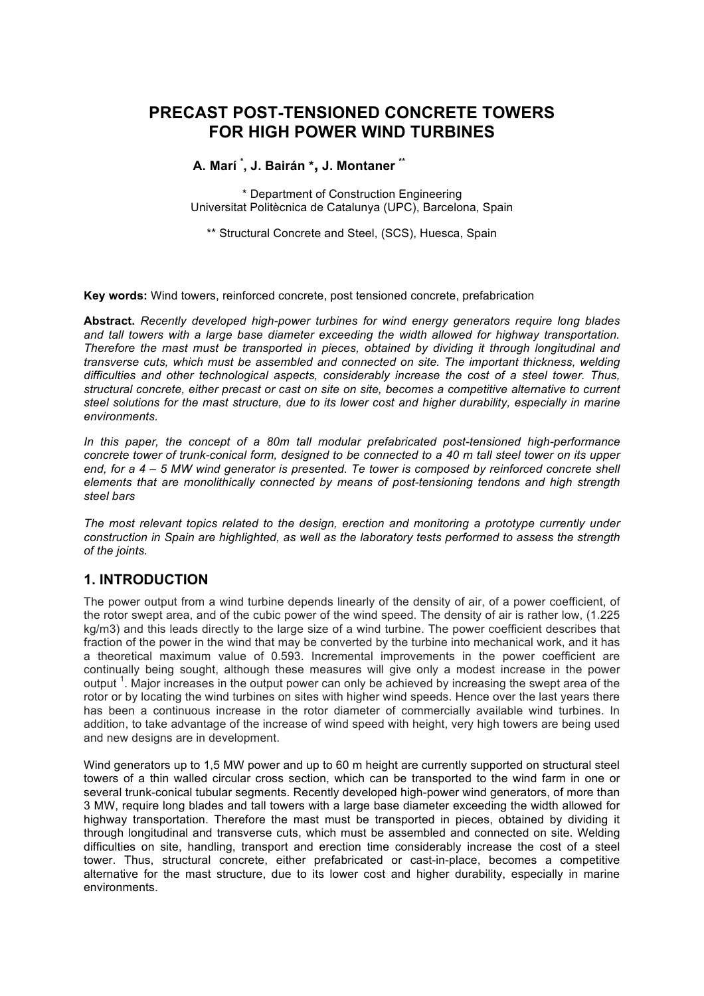# **PRECAST POST-TENSIONED CONCRETE TOWERS FOR HIGH POWER WIND TURBINES**

### **A. Marí \* , J. Bairán \*, J. Montaner \*\***

\* Department of Construction Engineering Universitat Politècnica de Catalunya (UPC), Barcelona, Spain

\*\* Structural Concrete and Steel, (SCS), Huesca, Spain

**Key words:** Wind towers, reinforced concrete, post tensioned concrete, prefabrication

**Abstract.** *Recently developed high-power turbines for wind energy generators require long blades and tall towers with a large base diameter exceeding the width allowed for highway transportation. Therefore the mast must be transported in pieces, obtained by dividing it through longitudinal and transverse cuts, which must be assembled and connected on site. The important thickness, welding difficulties and other technological aspects, considerably increase the cost of a steel tower. Thus, structural concrete, either precast or cast on site on site, becomes a competitive alternative to current*  steel solutions for the mast structure, due to its lower cost and higher durability, especially in marine *environments.* 

*In this paper, the concept of a 80m tall modular prefabricated post-tensioned high-performance concrete tower of trunk-conical form, designed to be connected to a 40 m tall steel tower on its upper end, for a 4 – 5 MW wind generator is presented. Te tower is composed by reinforced concrete shell elements that are monolithically connected by means of post-tensioning tendons and high strength steel bars*

*The most relevant topics related to the design, erection and monitoring a prototype currently under construction in Spain are highlighted, as well as the laboratory tests performed to assess the strength of the joints.* 

# **1. INTRODUCTION**

The power output from a wind turbine depends linearly of the density of air, of a power coefficient, of the rotor swept area, and of the cubic power of the wind speed. The density of air is rather low, (1.225 kg/m3) and this leads directly to the large size of a wind turbine. The power coefficient describes that fraction of the power in the wind that may be converted by the turbine into mechanical work, and it has a theoretical maximum value of 0.593. Incremental improvements in the power coefficient are continually being sought, although these measures will give only a modest increase in the power output<sup>1</sup>. Major increases in the output power can only be achieved by increasing the swept area of the rotor or by locating the wind turbines on sites with higher wind speeds. Hence over the last years there has been a continuous increase in the rotor diameter of commercially available wind turbines. In addition, to take advantage of the increase of wind speed with height, very high towers are being used and new designs are in development.

Wind generators up to 1,5 MW power and up to 60 m height are currently supported on structural steel towers of a thin walled circular cross section, which can be transported to the wind farm in one or several trunk-conical tubular segments. Recently developed high-power wind generators, of more than 3 MW, require long blades and tall towers with a large base diameter exceeding the width allowed for highway transportation. Therefore the mast must be transported in pieces, obtained by dividing it through longitudinal and transverse cuts, which must be assembled and connected on site. Welding difficulties on site, handling, transport and erection time considerably increase the cost of a steel tower. Thus, structural concrete, either prefabricated or cast-in-place, becomes a competitive alternative for the mast structure, due to its lower cost and higher durability, especially in marine environments.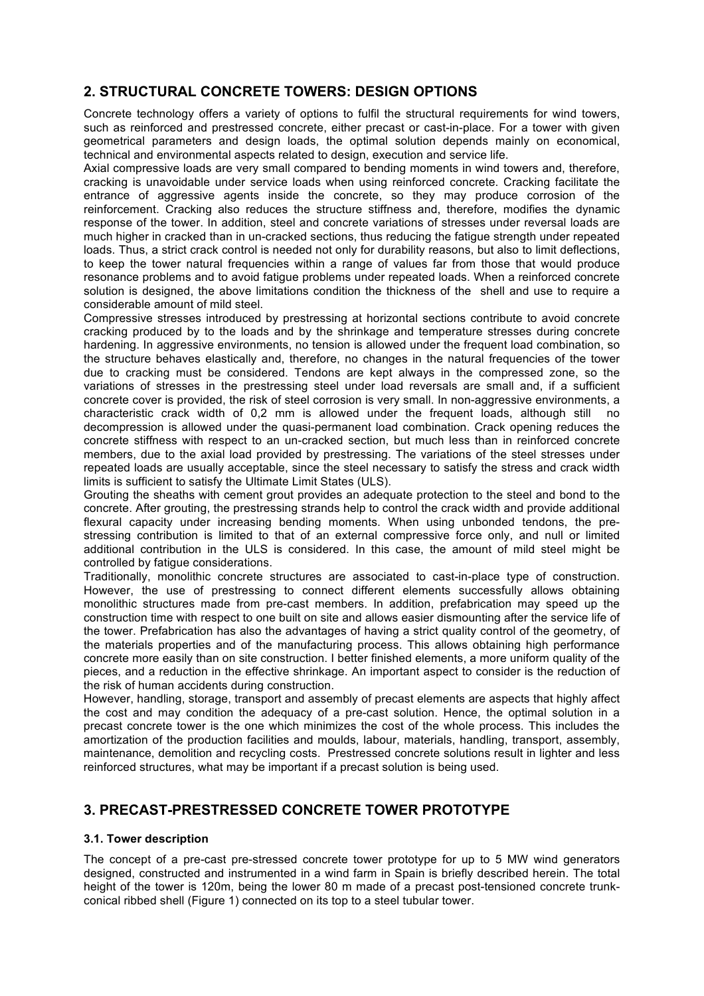## **2. STRUCTURAL CONCRETE TOWERS: DESIGN OPTIONS**

Concrete technology offers a variety of options to fulfil the structural requirements for wind towers, such as reinforced and prestressed concrete, either precast or cast-in-place. For a tower with given geometrical parameters and design loads, the optimal solution depends mainly on economical, technical and environmental aspects related to design, execution and service life.

Axial compressive loads are very small compared to bending moments in wind towers and, therefore, cracking is unavoidable under service loads when using reinforced concrete. Cracking facilitate the entrance of aggressive agents inside the concrete, so they may produce corrosion of the reinforcement. Cracking also reduces the structure stiffness and, therefore, modifies the dynamic response of the tower. In addition, steel and concrete variations of stresses under reversal loads are much higher in cracked than in un-cracked sections, thus reducing the fatigue strength under repeated loads. Thus, a strict crack control is needed not only for durability reasons, but also to limit deflections, to keep the tower natural frequencies within a range of values far from those that would produce resonance problems and to avoid fatigue problems under repeated loads. When a reinforced concrete solution is designed, the above limitations condition the thickness of the shell and use to require a considerable amount of mild steel.

Compressive stresses introduced by prestressing at horizontal sections contribute to avoid concrete cracking produced by to the loads and by the shrinkage and temperature stresses during concrete hardening. In aggressive environments, no tension is allowed under the frequent load combination, so the structure behaves elastically and, therefore, no changes in the natural frequencies of the tower due to cracking must be considered. Tendons are kept always in the compressed zone, so the variations of stresses in the prestressing steel under load reversals are small and, if a sufficient concrete cover is provided, the risk of steel corrosion is very small. In non-aggressive environments, a characteristic crack width of 0,2 mm is allowed under the frequent loads, although still no decompression is allowed under the quasi-permanent load combination. Crack opening reduces the concrete stiffness with respect to an un-cracked section, but much less than in reinforced concrete members, due to the axial load provided by prestressing. The variations of the steel stresses under repeated loads are usually acceptable, since the steel necessary to satisfy the stress and crack width limits is sufficient to satisfy the Ultimate Limit States (ULS).

Grouting the sheaths with cement grout provides an adequate protection to the steel and bond to the concrete. After grouting, the prestressing strands help to control the crack width and provide additional flexural capacity under increasing bending moments. When using unbonded tendons, the prestressing contribution is limited to that of an external compressive force only, and null or limited additional contribution in the ULS is considered. In this case, the amount of mild steel might be controlled by fatigue considerations.

Traditionally, monolithic concrete structures are associated to cast-in-place type of construction. However, the use of prestressing to connect different elements successfully allows obtaining monolithic structures made from pre-cast members. In addition, prefabrication may speed up the construction time with respect to one built on site and allows easier dismounting after the service life of the tower. Prefabrication has also the advantages of having a strict quality control of the geometry, of the materials properties and of the manufacturing process. This allows obtaining high performance concrete more easily than on site construction. I better finished elements, a more uniform quality of the pieces, and a reduction in the effective shrinkage. An important aspect to consider is the reduction of the risk of human accidents during construction.

However, handling, storage, transport and assembly of precast elements are aspects that highly affect the cost and may condition the adequacy of a pre-cast solution. Hence, the optimal solution in a precast concrete tower is the one which minimizes the cost of the whole process. This includes the amortization of the production facilities and moulds, labour, materials, handling, transport, assembly, maintenance, demolition and recycling costs. Prestressed concrete solutions result in lighter and less reinforced structures, what may be important if a precast solution is being used.

### **3. PRECAST-PRESTRESSED CONCRETE TOWER PROTOTYPE**

#### **3.1. Tower description**

The concept of a pre-cast pre-stressed concrete tower prototype for up to 5 MW wind generators designed, constructed and instrumented in a wind farm in Spain is briefly described herein. The total height of the tower is 120m, being the lower 80 m made of a precast post-tensioned concrete trunkconical ribbed shell (Figure 1) connected on its top to a steel tubular tower.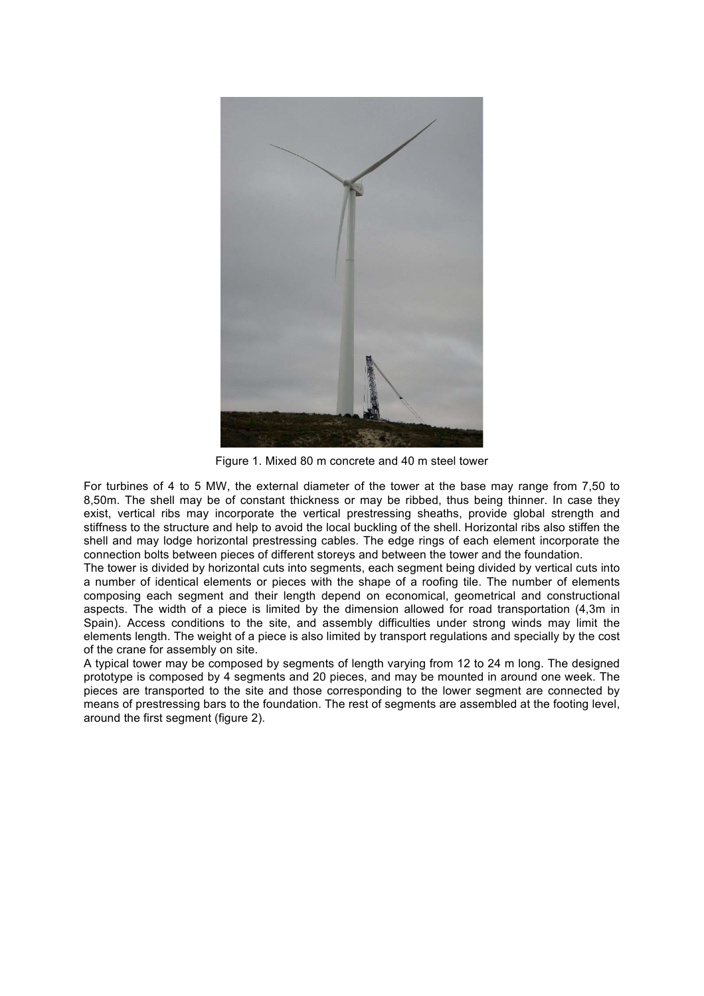

Figure 1. Mixed 80 m concrete and 40 m steel tower

For turbines of 4 to 5 MW, the external diameter of the tower at the base may range from 7,50 to 8,50m. The shell may be of constant thickness or may be ribbed, thus being thinner. In case they exist, vertical ribs may incorporate the vertical prestressing sheaths, provide global strength and stiffness to the structure and help to avoid the local buckling of the shell. Horizontal ribs also stiffen the shell and may lodge horizontal prestressing cables. The edge rings of each element incorporate the connection bolts between pieces of different storeys and between the tower and the foundation.

The tower is divided by horizontal cuts into segments, each segment being divided by vertical cuts into a number of identical elements or pieces with the shape of a roofing tile. The number of elements composing each segment and their length depend on economical, geometrical and constructional aspects. The width of a piece is limited by the dimension allowed for road transportation (4,3m in Spain). Access conditions to the site, and assembly difficulties under strong winds may limit the elements length. The weight of a piece is also limited by transport regulations and specially by the cost of the crane for assembly on site.

A typical tower may be composed by segments of length varying from 12 to 24 m long. The designed prototype is composed by 4 segments and 20 pieces, and may be mounted in around one week. The pieces are transported to the site and those corresponding to the lower segment are connected by means of prestressing bars to the foundation. The rest of segments are assembled at the footing level, around the first segment (figure 2).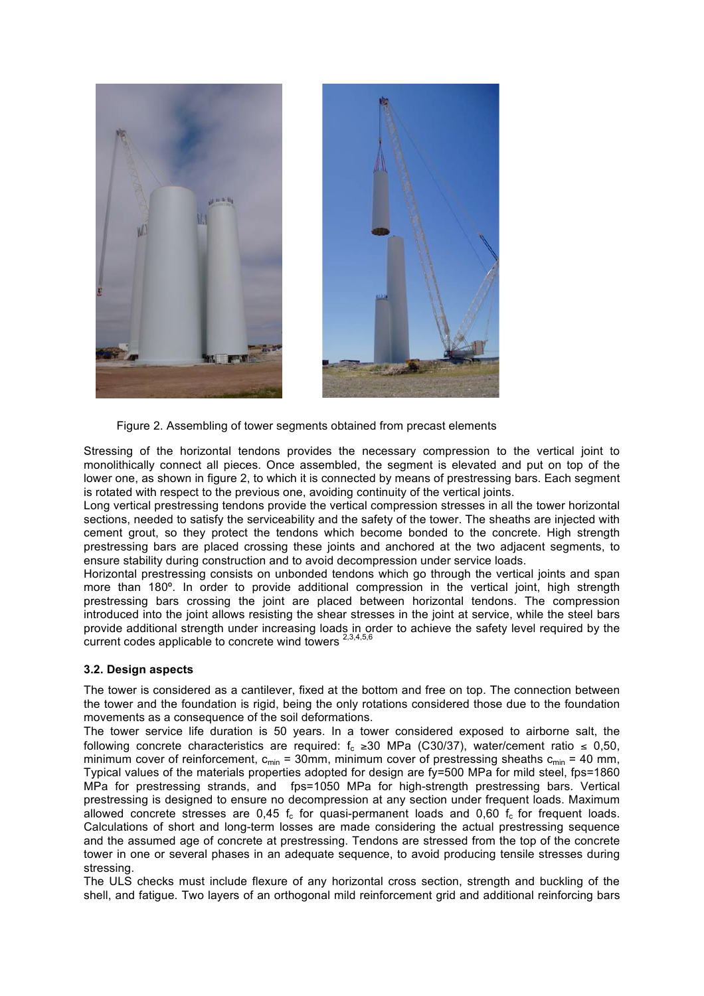

Figure 2. Assembling of tower segments obtained from precast elements

Stressing of the horizontal tendons provides the necessary compression to the vertical joint to monolithically connect all pieces. Once assembled, the segment is elevated and put on top of the lower one, as shown in figure 2, to which it is connected by means of prestressing bars. Each segment is rotated with respect to the previous one, avoiding continuity of the vertical joints.

Long vertical prestressing tendons provide the vertical compression stresses in all the tower horizontal sections, needed to satisfy the serviceability and the safety of the tower. The sheaths are injected with cement grout, so they protect the tendons which become bonded to the concrete. High strength prestressing bars are placed crossing these joints and anchored at the two adjacent segments, to ensure stability during construction and to avoid decompression under service loads.

Horizontal prestressing consists on unbonded tendons which go through the vertical joints and span more than 180º. In order to provide additional compression in the vertical joint, high strength prestressing bars crossing the joint are placed between horizontal tendons. The compression introduced into the joint allows resisting the shear stresses in the joint at service, while the steel bars provide additional strength under increasing loads in order to achieve the safety level required by the current codes applicable to concrete wind towers  $^{2,3,4,5,6}$ 

#### **3.2. Design aspects**

The tower is considered as a cantilever, fixed at the bottom and free on top. The connection between the tower and the foundation is rigid, being the only rotations considered those due to the foundation movements as a consequence of the soil deformations.

The tower service life duration is 50 years. In a tower considered exposed to airborne salt, the following concrete characteristics are required:  $f_c \ge 30$  MPa (C30/37), water/cement ratio ≤ 0,50, minimum cover of reinforcement,  $c_{min} = 30$ mm, minimum cover of prestressing sheaths  $c_{min} = 40$  mm, Typical values of the materials properties adopted for design are fy=500 MPa for mild steel, fps=1860 MPa for prestressing strands, and fps=1050 MPa for high-strength prestressing bars. Vertical prestressing is designed to ensure no decompression at any section under frequent loads. Maximum allowed concrete stresses are 0.45  $f_c$  for quasi-permanent loads and 0.60  $f_c$  for frequent loads. Calculations of short and long-term losses are made considering the actual prestressing sequence and the assumed age of concrete at prestressing. Tendons are stressed from the top of the concrete tower in one or several phases in an adequate sequence, to avoid producing tensile stresses during stressing.

The ULS checks must include flexure of any horizontal cross section, strength and buckling of the shell, and fatigue. Two layers of an orthogonal mild reinforcement grid and additional reinforcing bars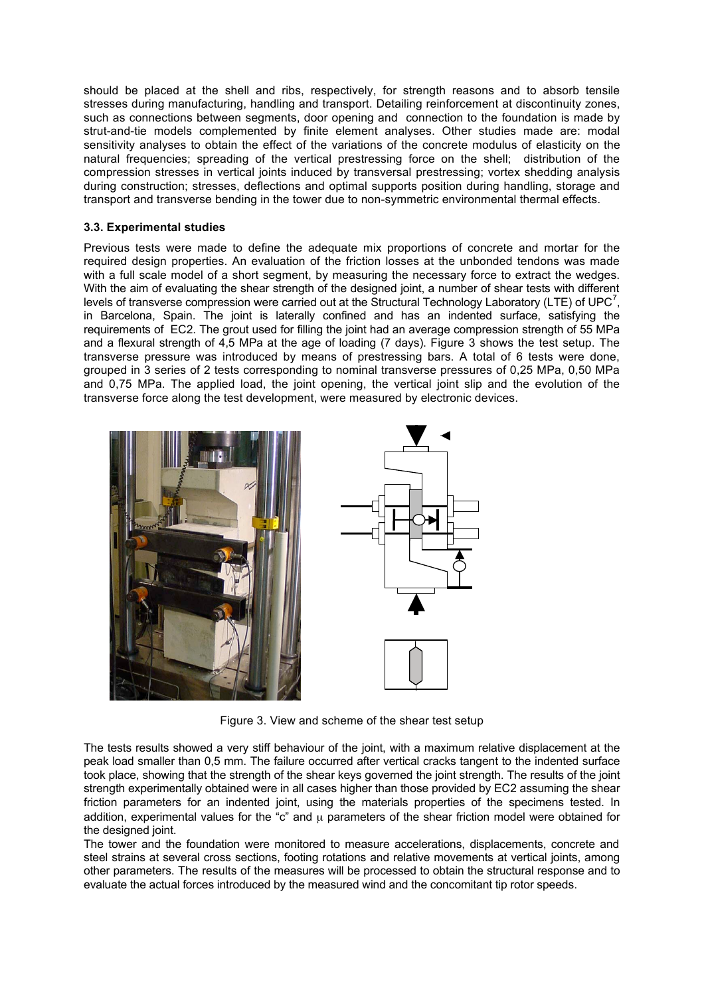should be placed at the shell and ribs, respectively, for strength reasons and to absorb tensile stresses during manufacturing, handling and transport. Detailing reinforcement at discontinuity zones, such as connections between segments, door opening and connection to the foundation is made by strut-and-tie models complemented by finite element analyses. Other studies made are: modal sensitivity analyses to obtain the effect of the variations of the concrete modulus of elasticity on the natural frequencies; spreading of the vertical prestressing force on the shell; distribution of the compression stresses in vertical joints induced by transversal prestressing; vortex shedding analysis during construction; stresses, deflections and optimal supports position during handling, storage and transport and transverse bending in the tower due to non-symmetric environmental thermal effects.

#### **3.3. Experimental studies**

Previous tests were made to define the adequate mix proportions of concrete and mortar for the required design properties. An evaluation of the friction losses at the unbonded tendons was made with a full scale model of a short segment, by measuring the necessary force to extract the wedges. With the aim of evaluating the shear strength of the designed joint, a number of shear tests with different levels of transverse compression were carried out at the Structural Technology Laboratory (LTE) of UPC<sup>7</sup>, in Barcelona, Spain. The joint is laterally confined and has an indented surface, satisfying the requirements of EC2. The grout used for filling the joint had an average compression strength of 55 MPa and a flexural strength of 4,5 MPa at the age of loading (7 days). Figure 3 shows the test setup. The transverse pressure was introduced by means of prestressing bars. A total of 6 tests were done, grouped in 3 series of 2 tests corresponding to nominal transverse pressures of 0,25 MPa, 0,50 MPa and 0,75 MPa. The applied load, the joint opening, the vertical joint slip and the evolution of the transverse force along the test development, were measured by electronic devices.





Figure 3. View and scheme of the shear test setup

The tests results showed a very stiff behaviour of the joint, with a maximum relative displacement at the peak load smaller than 0,5 mm. The failure occurred after vertical cracks tangent to the indented surface took place, showing that the strength of the shear keys governed the joint strength. The results of the joint strength experimentally obtained were in all cases higher than those provided by EC2 assuming the shear friction parameters for an indented joint, using the materials properties of the specimens tested. In addition, experimental values for the "c" and  $\mu$  parameters of the shear friction model were obtained for the designed joint.

The tower and the foundation were monitored to measure accelerations, displacements, concrete and steel strains at several cross sections, footing rotations and relative movements at vertical joints, among other parameters. The results of the measures will be processed to obtain the structural response and to evaluate the actual forces introduced by the measured wind and the concomitant tip rotor speeds.